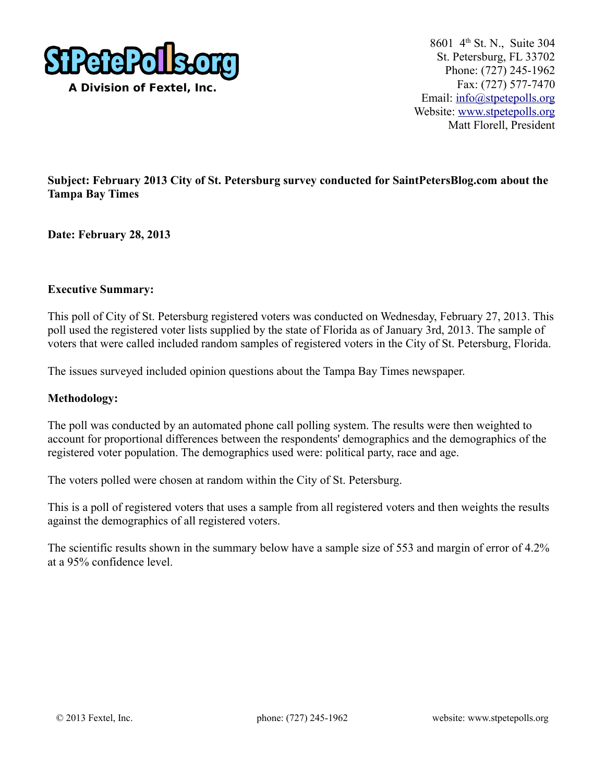

8601 4<sup>th</sup> St. N., Suite 304 St. Petersburg, FL 33702 Phone: (727) 245-1962 Fax: (727) 577-7470 Email: [info@stpetepolls.org](mailto:info@stpetepolls.org) Website: [www.stpetepolls.org](http://www.stpetepolls.org/) Matt Florell, President

## **Subject: February 2013 City of St. Petersburg survey conducted for SaintPetersBlog.com about the Tampa Bay Times**

**Date: February 28, 2013**

## **Executive Summary:**

This poll of City of St. Petersburg registered voters was conducted on Wednesday, February 27, 2013. This poll used the registered voter lists supplied by the state of Florida as of January 3rd, 2013. The sample of voters that were called included random samples of registered voters in the City of St. Petersburg, Florida.

The issues surveyed included opinion questions about the Tampa Bay Times newspaper.

### **Methodology:**

The poll was conducted by an automated phone call polling system. The results were then weighted to account for proportional differences between the respondents' demographics and the demographics of the registered voter population. The demographics used were: political party, race and age.

The voters polled were chosen at random within the City of St. Petersburg.

This is a poll of registered voters that uses a sample from all registered voters and then weights the results against the demographics of all registered voters.

The scientific results shown in the summary below have a sample size of 553 and margin of error of 4.2% at a 95% confidence level.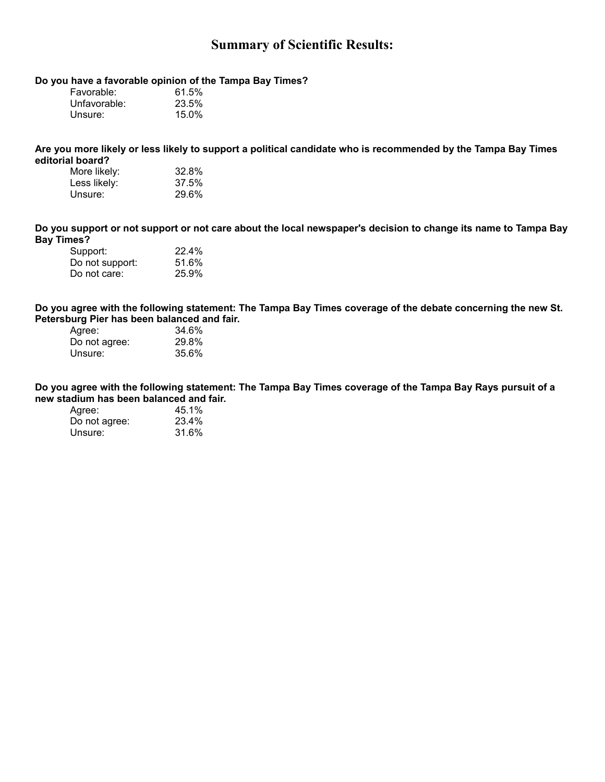# **Summary of Scientific Results:**

### **Do you have a favorable opinion of the Tampa Bay Times?**

| Favorable:   | 61.5% |
|--------------|-------|
| Unfavorable: | 23.5% |
| Unsure:      | 15.0% |

**Are you more likely or less likely to support a political candidate who is recommended by the Tampa Bay Times editorial board?** 

| More likely: | 32.8% |
|--------------|-------|
| Less likely: | 37.5% |
| Unsure:      | 29.6% |

**Do you support or not support or not care about the local newspaper's decision to change its name to Tampa Bay Bay Times?** 

| 22.4% |
|-------|
| 51.6% |
| 25.9% |
|       |

**Do you agree with the following statement: The Tampa Bay Times coverage of the debate concerning the new St. Petersburg Pier has been balanced and fair.** 

| 34.6% |
|-------|
| 29.8% |
| 35.6% |
|       |

**Do you agree with the following statement: The Tampa Bay Times coverage of the Tampa Bay Rays pursuit of a new stadium has been balanced and fair.** 

| Agree:        | 45.1% |
|---------------|-------|
| Do not agree: | 23.4% |
| Unsure:       | 31.6% |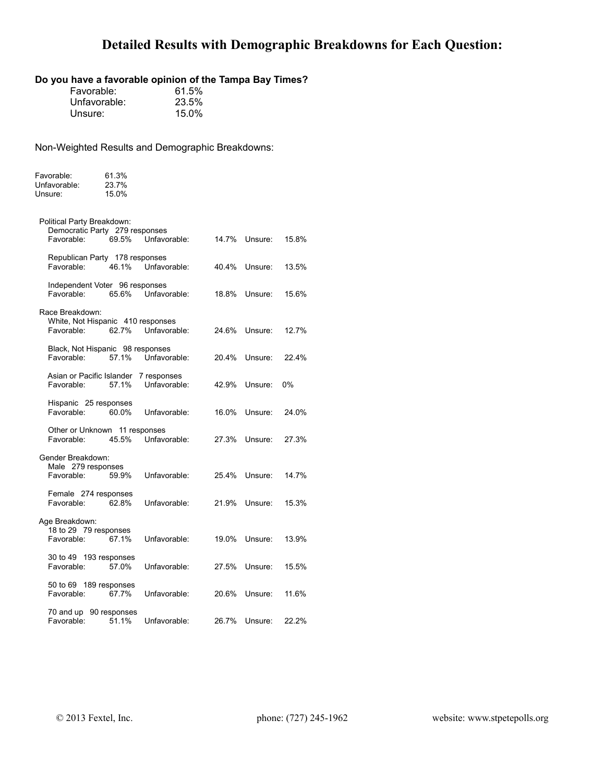# **Detailed Results with Demographic Breakdowns for Each Question:**

# **Do you have a favorable opinion of the Tampa Bay Times?**

| Favorable:   | 61.5% |
|--------------|-------|
| Unfavorable: | 23.5% |
| Unsure:      | 15.0% |

| Favorable:<br>Unfavorable:<br>Unsure:                        | 61.3%<br>23.7%<br>15.0% |                             |       |         |       |
|--------------------------------------------------------------|-------------------------|-----------------------------|-------|---------|-------|
| Political Party Breakdown:<br>Democratic Party 279 responses |                         |                             |       |         |       |
| Favorable:                                                   | 69.5%                   | Unfavorable:                | 14.7% | Unsure: | 15.8% |
| Republican Party 178 responses<br>Favorable:                 | 46.1%                   | Unfavorable:                | 40.4% | Unsure: | 13.5% |
| Independent Voter 96 responses<br>Favorable:                 | 65.6%                   | Unfavorable:                | 18.8% | Unsure: | 15.6% |
| Race Breakdown:                                              |                         |                             |       |         |       |
| White, Not Hispanic 410 responses<br>Favorable:              | 62.7%                   | Unfavorable:                | 24.6% | Unsure: | 12.7% |
| Black, Not Hispanic 98 responses<br>Favorable:               | 57.1%                   | Unfavorable:                | 20.4% | Unsure: | 22.4% |
| Asian or Pacific Islander<br>Favorable:                      | 57.1%                   | 7 responses<br>Unfavorable: | 42.9% | Unsure: | 0%    |
| Hispanic 25 responses<br>Favorable:                          | 60.0%                   | Unfavorable:                | 16.0% | Unsure: | 24.0% |
| Other or Unknown 11 responses<br>Favorable:                  | 45.5%                   | Unfavorable:                | 27.3% | Unsure: | 27.3% |
| Gender Breakdown:                                            |                         |                             |       |         |       |
| Male 279 responses<br>Favorable:                             | 59.9%                   | Unfavorable:                | 25.4% | Unsure: | 14.7% |
| Female 274 responses<br>Favorable:                           | 62.8%                   | Unfavorable:                | 21.9% | Unsure: | 15.3% |
| Age Breakdown:                                               |                         |                             |       |         |       |
| 18 to 29 79 responses<br>Favorable:                          | 67.1%                   | Unfavorable:                | 19.0% | Unsure: | 13.9% |
| 30 to 49 193 responses<br>Favorable:                         | 57.0%                   | Unfavorable:                | 27.5% | Unsure: | 15.5% |
| 50 to 69 189 responses<br>Favorable:                         | 67.7%                   | Unfavorable:                | 20.6% | Unsure: | 11.6% |
| 70 and up 90 responses<br>Favorable:                         | 51.1%                   | Unfavorable:                | 26.7% | Unsure: | 22.2% |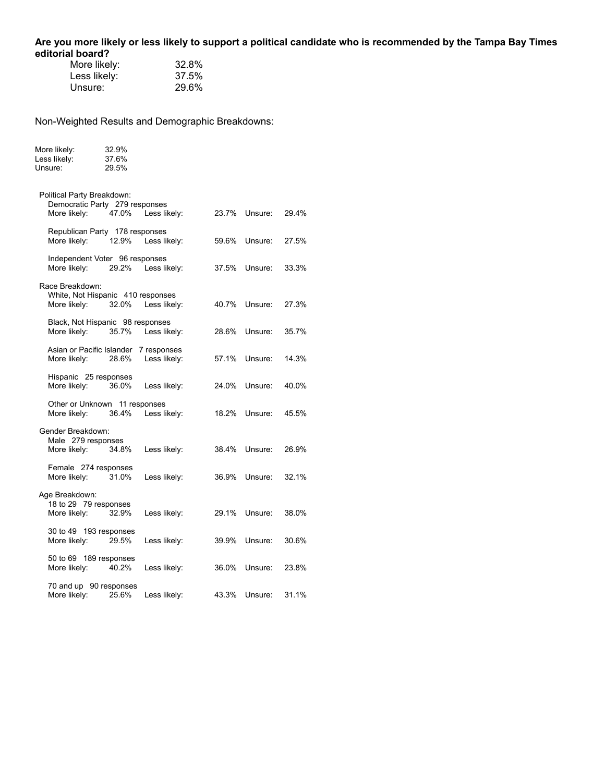**Are you more likely or less likely to support a political candidate who is recommended by the Tampa Bay Times editorial board?** 

| 32.8% |
|-------|
| 37.5% |
| 29.6% |
|       |

| More likely: | 32.9% |
|--------------|-------|
| Less likely: | 37.6% |
| Unsure:      | 29.5% |

| Political Party Breakdown:<br>Democratic Party 279 responses<br>More likely: | 47.0% | Less likely:                | 23.7% | Unsure: | 29.4% |  |
|------------------------------------------------------------------------------|-------|-----------------------------|-------|---------|-------|--|
| Republican Party 178 responses<br>More likely:                               | 12.9% | Less likely:                | 59.6% | Unsure: | 27.5% |  |
| Independent Voter 96 responses<br>More likely:                               | 29.2% | Less likely:                | 37.5% | Unsure: | 33.3% |  |
| Race Breakdown:<br>White, Not Hispanic 410 responses<br>More likely:         | 32.0% | Less likely:                | 40.7% | Unsure: | 27.3% |  |
| Black, Not Hispanic 98 responses<br>More likely:                             | 35.7% | Less likely:                | 28.6% | Unsure: | 35.7% |  |
| Asian or Pacific Islander<br>More likely:                                    | 28.6% | 7 responses<br>Less likely: | 57.1% | Unsure: | 14.3% |  |
| Hispanic 25 responses<br>More likely:                                        | 36.0% | Less likely:                | 24.0% | Unsure: | 40.0% |  |
| Other or Unknown 11 responses<br>More likely:                                | 36.4% | Less likely:                | 18.2% | Unsure: | 45.5% |  |
| Gender Breakdown:<br>Male 279 responses<br>More likely:                      | 34.8% | Less likely:                | 38.4% | Unsure: | 26.9% |  |
| Female 274 responses<br>More likely:                                         | 31.0% | Less likely:                | 36.9% | Unsure: | 32.1% |  |
| Age Breakdown:<br>18 to 29 79 responses<br>More likely:                      | 32.9% | Less likely:                | 29.1% | Unsure: | 38.0% |  |
| 30 to 49 193 responses<br>More likely:                                       | 29.5% | Less likely:                | 39.9% | Unsure: | 30.6% |  |
| 50 to 69 189 responses<br>More likely:                                       | 40.2% | Less likely:                | 36.0% | Unsure: | 23.8% |  |
| 70 and up 90 responses<br>More likely:                                       | 25.6% | Less likely:                | 43.3% | Unsure: | 31.1% |  |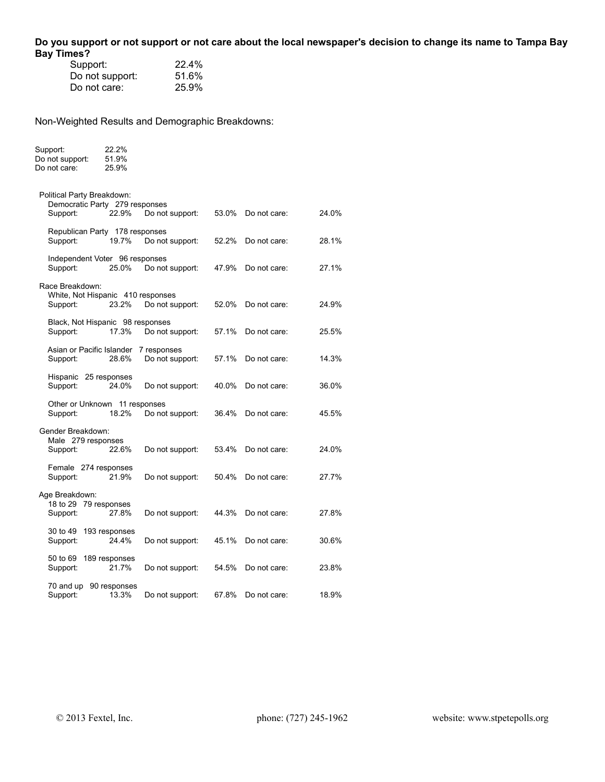## **Do you support or not support or not care about the local newspaper's decision to change its name to Tampa Bay Bay Times?**

| Support:        | 22.4% |
|-----------------|-------|
| Do not support: | 51.6% |
| Do not care:    | 25.9% |

Support: 22.2%

| Do not support:<br>Do not care:                                          | 51.9%<br>25.9%         |                                |       |              |       |
|--------------------------------------------------------------------------|------------------------|--------------------------------|-------|--------------|-------|
| Political Party Breakdown:<br>Democratic Party 279 responses<br>Support: | 22.9%                  | Do not support:                | 53.0% | Do not care: | 24.0% |
| Republican Party 178 responses<br>Support:                               | 19.7%                  | Do not support:                | 52.2% | Do not care: | 28.1% |
| Independent Voter 96 responses<br>Support:                               | 25.0%                  | Do not support:                | 47.9% | Do not care: | 27.1% |
| Race Breakdown:<br>White, Not Hispanic 410 responses<br>Support:         | 23.2%                  | Do not support:                | 52.0% | Do not care: | 24.9% |
| Black, Not Hispanic 98 responses<br>Support:                             | 17.3%                  | Do not support:                | 57.1% | Do not care: | 25.5% |
| Asian or Pacific Islander<br>Support:                                    | 28.6%                  | 7 responses<br>Do not support: | 57.1% | Do not care: | 14.3% |
| Hispanic 25 responses<br>Support:                                        | 24.0%                  | Do not support:                | 40.0% | Do not care: | 36.0% |
| Other or Unknown 11 responses<br>Support:                                | 18.2%                  | Do not support:                | 36.4% | Do not care: | 45.5% |
| Gender Breakdown:<br>Male 279 responses<br>Support:                      | 22.6%                  | Do not support:                | 53.4% | Do not care: | 24.0% |
| Female 274 responses<br>Support:                                         | 21.9%                  | Do not support:                | 50.4% | Do not care: | 27.7% |
| Age Breakdown:<br>18 to 29 79 responses<br>Support:                      | 27.8%                  | Do not support:                | 44.3% | Do not care: | 27.8% |
| 30 to 49<br>Support:                                                     | 193 responses<br>24.4% | Do not support:                | 45.1% | Do not care: | 30.6% |
| 50 to 69<br>Support:                                                     | 189 responses<br>21.7% | Do not support:                | 54.5% | Do not care: | 23.8% |
| 70 and up<br>Support:                                                    | 90 responses<br>13.3%  | Do not support:                | 67.8% | Do not care: | 18.9% |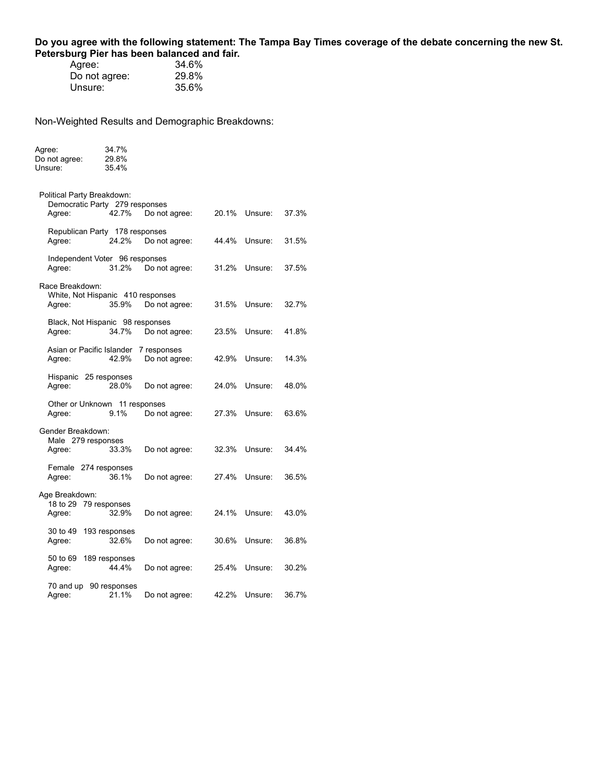### **Do you agree with the following statement: The Tampa Bay Times coverage of the debate concerning the new St. Petersburg Pier has been balanced and fair.**

| Agree:        | 34.6% |
|---------------|-------|
| Do not agree: | 29.8% |
| Unsure:       | 35.6% |

Agree: 34.7%

| Do not agree:<br>Unsure:                                               | 29.8%<br>35.4%         |                              |       |         |       |
|------------------------------------------------------------------------|------------------------|------------------------------|-------|---------|-------|
| Political Party Breakdown:<br>Democratic Party 279 responses<br>Agree: | 42.7%                  | Do not agree:                | 20.1% | Unsure: | 37.3% |
| Republican Party 178 responses<br>Agree:                               | 24.2%                  | Do not agree:                | 44.4% | Unsure: | 31.5% |
| Independent Voter 96 responses<br>Agree:                               | 31.2%                  | Do not agree:                | 31.2% | Unsure: | 37.5% |
| Race Breakdown:<br>White, Not Hispanic 410 responses<br>Agree:         | 35.9%                  | Do not agree:                | 31.5% | Unsure: | 32.7% |
| Black, Not Hispanic 98 responses<br>Agree:                             | 34.7%                  | Do not agree:                | 23.5% | Unsure: | 41.8% |
| Asian or Pacific Islander<br>Agree:                                    | 42.9%                  | 7 responses<br>Do not agree: | 42.9% | Unsure: | 14.3% |
| Hispanic 25 responses<br>Agree:                                        | 28.0%                  | Do not agree:                | 24.0% | Unsure: | 48.0% |
| Other or Unknown 11 responses<br>Agree:                                | 9.1%                   | Do not agree:                | 27.3% | Unsure: | 63.6% |
| Gender Breakdown:<br>Male 279 responses<br>Agree:                      | 33.3%                  | Do not agree:                | 32.3% | Unsure: | 34.4% |
| Female 274 responses<br>Agree:                                         | 36.1%                  | Do not agree:                | 27.4% | Unsure: | 36.5% |
| Age Breakdown:<br>18 to 29<br>Agree:                                   | 79 responses<br>32.9%  | Do not agree:                | 24.1% | Unsure: | 43.0% |
| 30 to 49<br>Agree:                                                     | 193 responses<br>32.6% | Do not agree:                | 30.6% | Unsure: | 36.8% |
| 50 to 69<br>Agree:                                                     | 189 responses<br>44.4% | Do not agree:                | 25.4% | Unsure: | 30.2% |
| 70 and up<br>Agree:                                                    | 90 responses<br>21.1%  | Do not agree:                | 42.2% | Unsure: | 36.7% |